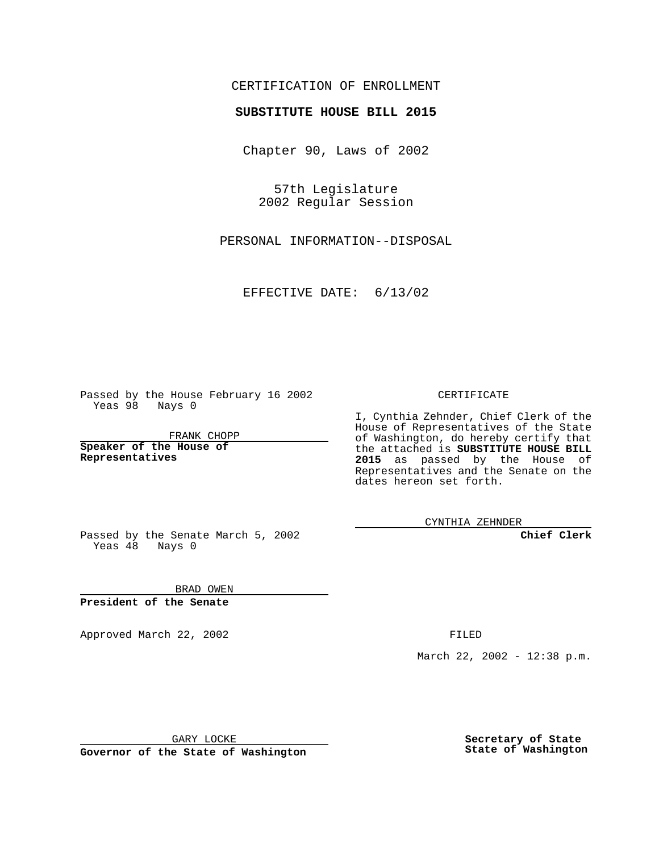#### CERTIFICATION OF ENROLLMENT

## **SUBSTITUTE HOUSE BILL 2015**

Chapter 90, Laws of 2002

57th Legislature 2002 Regular Session

PERSONAL INFORMATION--DISPOSAL

EFFECTIVE DATE: 6/13/02

Passed by the House February 16 2002 Yeas 98 Nays 0

FRANK CHOPP

**Speaker of the House of Representatives**

CERTIFICATE

I, Cynthia Zehnder, Chief Clerk of the House of Representatives of the State of Washington, do hereby certify that the attached is **SUBSTITUTE HOUSE BILL 2015** as passed by the House of Representatives and the Senate on the dates hereon set forth.

CYNTHIA ZEHNDER

**Chief Clerk**

Passed by the Senate March 5, 2002 Yeas  $48$  Nays 0

BRAD OWEN **President of the Senate**

Approved March 22, 2002 **FILED** 

March 22, 2002 - 12:38 p.m.

GARY LOCKE

**Governor of the State of Washington**

**Secretary of State State of Washington**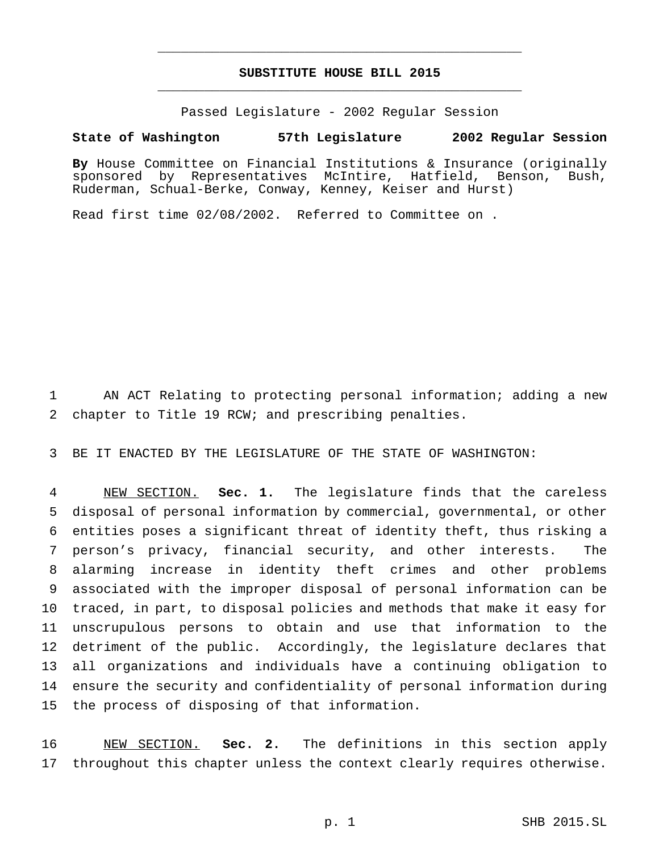### **SUBSTITUTE HOUSE BILL 2015** \_\_\_\_\_\_\_\_\_\_\_\_\_\_\_\_\_\_\_\_\_\_\_\_\_\_\_\_\_\_\_\_\_\_\_\_\_\_\_\_\_\_\_\_\_\_\_

\_\_\_\_\_\_\_\_\_\_\_\_\_\_\_\_\_\_\_\_\_\_\_\_\_\_\_\_\_\_\_\_\_\_\_\_\_\_\_\_\_\_\_\_\_\_\_

Passed Legislature - 2002 Regular Session

#### **State of Washington 57th Legislature 2002 Regular Session**

**By** House Committee on Financial Institutions & Insurance (originally sponsored by Representatives McIntire, Hatfield, Benson, Bush, Ruderman, Schual-Berke, Conway, Kenney, Keiser and Hurst)

Read first time 02/08/2002. Referred to Committee on .

 AN ACT Relating to protecting personal information; adding a new chapter to Title 19 RCW; and prescribing penalties.

BE IT ENACTED BY THE LEGISLATURE OF THE STATE OF WASHINGTON:

 NEW SECTION. **Sec. 1.** The legislature finds that the careless disposal of personal information by commercial, governmental, or other entities poses a significant threat of identity theft, thus risking a person's privacy, financial security, and other interests. The alarming increase in identity theft crimes and other problems associated with the improper disposal of personal information can be traced, in part, to disposal policies and methods that make it easy for unscrupulous persons to obtain and use that information to the detriment of the public. Accordingly, the legislature declares that all organizations and individuals have a continuing obligation to ensure the security and confidentiality of personal information during the process of disposing of that information.

 NEW SECTION. **Sec. 2.** The definitions in this section apply throughout this chapter unless the context clearly requires otherwise.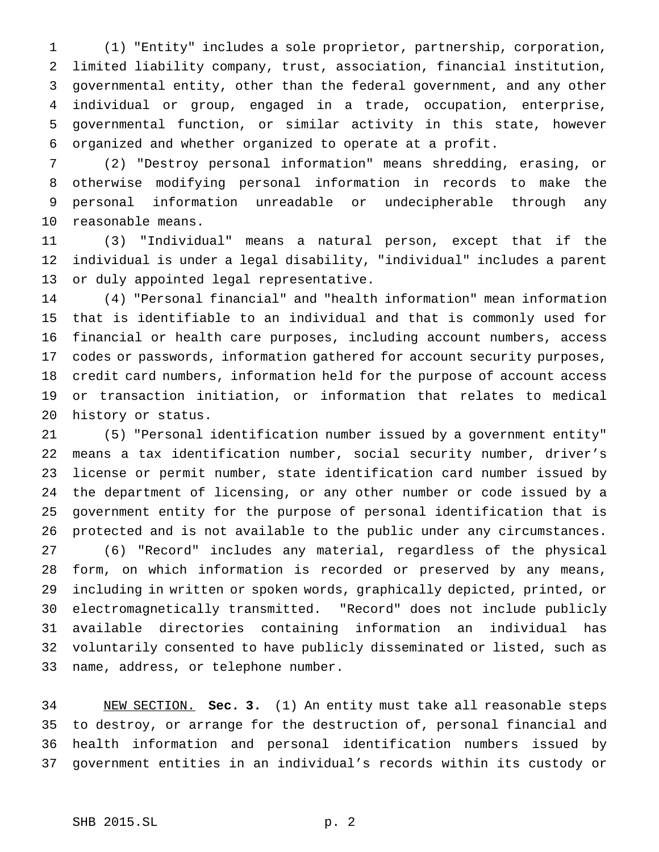(1) "Entity" includes a sole proprietor, partnership, corporation, limited liability company, trust, association, financial institution, governmental entity, other than the federal government, and any other individual or group, engaged in a trade, occupation, enterprise, governmental function, or similar activity in this state, however organized and whether organized to operate at a profit.

 (2) "Destroy personal information" means shredding, erasing, or otherwise modifying personal information in records to make the personal information unreadable or undecipherable through any reasonable means.

 (3) "Individual" means a natural person, except that if the individual is under a legal disability, "individual" includes a parent or duly appointed legal representative.

 (4) "Personal financial" and "health information" mean information that is identifiable to an individual and that is commonly used for financial or health care purposes, including account numbers, access codes or passwords, information gathered for account security purposes, credit card numbers, information held for the purpose of account access or transaction initiation, or information that relates to medical history or status.

 (5) "Personal identification number issued by a government entity" means a tax identification number, social security number, driver's license or permit number, state identification card number issued by the department of licensing, or any other number or code issued by a government entity for the purpose of personal identification that is protected and is not available to the public under any circumstances. (6) "Record" includes any material, regardless of the physical form, on which information is recorded or preserved by any means, including in written or spoken words, graphically depicted, printed, or electromagnetically transmitted. "Record" does not include publicly available directories containing information an individual has voluntarily consented to have publicly disseminated or listed, such as name, address, or telephone number.

 NEW SECTION. **Sec. 3.** (1) An entity must take all reasonable steps to destroy, or arrange for the destruction of, personal financial and health information and personal identification numbers issued by government entities in an individual's records within its custody or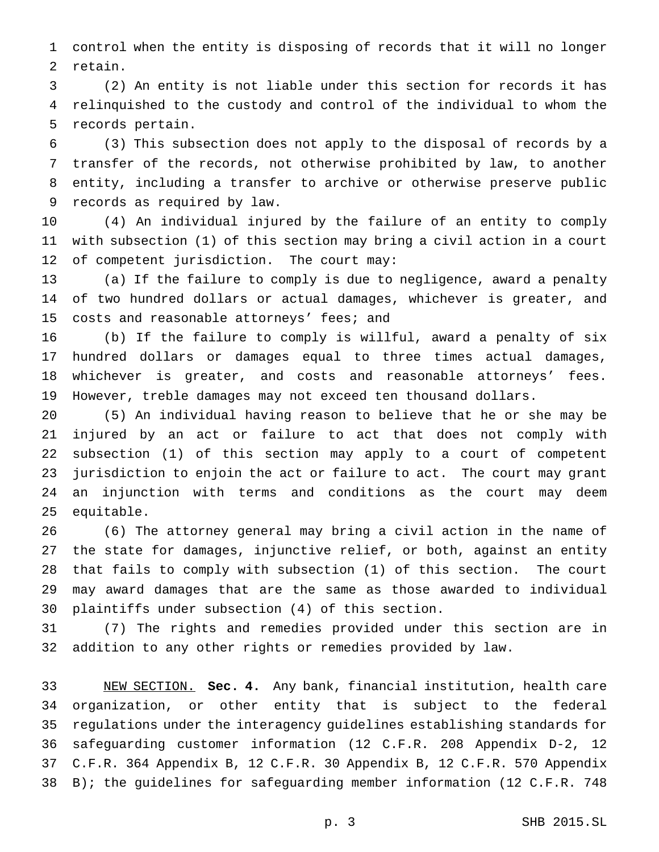control when the entity is disposing of records that it will no longer retain.

 (2) An entity is not liable under this section for records it has relinquished to the custody and control of the individual to whom the records pertain.

 (3) This subsection does not apply to the disposal of records by a transfer of the records, not otherwise prohibited by law, to another entity, including a transfer to archive or otherwise preserve public records as required by law.

 (4) An individual injured by the failure of an entity to comply with subsection (1) of this section may bring a civil action in a court of competent jurisdiction. The court may:

 (a) If the failure to comply is due to negligence, award a penalty of two hundred dollars or actual damages, whichever is greater, and 15 costs and reasonable attorneys' fees; and

 (b) If the failure to comply is willful, award a penalty of six hundred dollars or damages equal to three times actual damages, whichever is greater, and costs and reasonable attorneys' fees. However, treble damages may not exceed ten thousand dollars.

 (5) An individual having reason to believe that he or she may be injured by an act or failure to act that does not comply with subsection (1) of this section may apply to a court of competent jurisdiction to enjoin the act or failure to act. The court may grant an injunction with terms and conditions as the court may deem equitable.

 (6) The attorney general may bring a civil action in the name of the state for damages, injunctive relief, or both, against an entity that fails to comply with subsection (1) of this section. The court may award damages that are the same as those awarded to individual plaintiffs under subsection (4) of this section.

 (7) The rights and remedies provided under this section are in addition to any other rights or remedies provided by law.

 NEW SECTION. **Sec. 4.** Any bank, financial institution, health care organization, or other entity that is subject to the federal regulations under the interagency guidelines establishing standards for safeguarding customer information (12 C.F.R. 208 Appendix D-2, 12 C.F.R. 364 Appendix B, 12 C.F.R. 30 Appendix B, 12 C.F.R. 570 Appendix B); the guidelines for safeguarding member information (12 C.F.R. 748